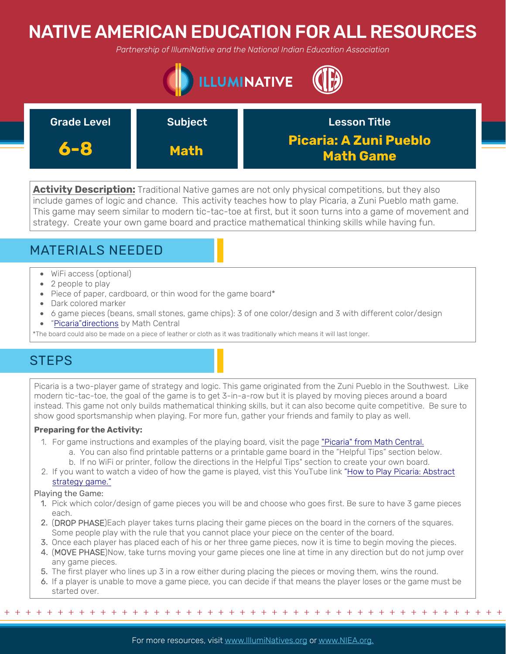# NATIVE AMERICAN EDUCATION FOR ALL RESOURCES

*Partnership of IllumiNative and the National Indian Education Association*



| <b>Grade Level</b> | <b>Subject</b> | <b>Lesson Title</b>                               |
|--------------------|----------------|---------------------------------------------------|
| 6-8                | <b>Math</b>    | <b>Picaria: A Zuni Pueblo</b><br><b>Math Game</b> |

**Activity Description:** Traditional Native games are not only physical competitions, but they also include games of logic and chance. This activity teaches how to play Picaria, a Zuni Pueblo math game. This game may seem similar to modern tic-tac-toe at first, but it soon turns into a game of movement and strategy. Create your own game board and practice mathematical thinking skills while having fun.

## MATERIALS NEEDED

- WiFi access (optional)
- 2 people to play
- Piece of paper, cardboard, or thin wood for the game board\*
- Dark colored marker
- 6 game pieces (beans, small stones, game chips): 3 of one color/design and 3 with different color/design
- ["Picaria"directions](http://mathcentral.uregina.ca/RR/database/RR.09.00/treptau1/game11.html) by Math Central

\*The board could also be made on a piece of leather or cloth as it was traditionally which means it will last longer.

## **STEPS**

Picaria is a two-player game of strategy and logic. This game originated from the Zuni Pueblo in the Southwest. Like modern tic-tac-toe, the goal of the game is to get 3-in-a-row but it is played by moving pieces around a board instead. This game not only builds mathematical thinking skills, but it can also become quite competitive. Be sure to show good sportsmanship when playing. For more fun, gather your friends and family to play as well.

### **Preparing for the Activity:**

- 1. For game instructions and examples of the playing board, visit the page ["Picaria" from Math Central.](http://mathcentral.uregina.ca/RR/database/RR.09.00/treptau1/game11.html)
	- a. You can also find printable patterns or a printable game board in the "Helpful Tips" section below.
	- b. If no WiFi or printer, follow the directions in the Helpful Tips" section to create your own board.
- 2. [If you want to watch a video of how the game is played, vist this YouTube link "How to Play Picaria: Abstract](https://www.youtube.com/watch?v=Lm-1_aNMCs8) strategy game."

### Playing the Game:

- 1. Pick which color/design of game pieces you will be and choose who goes first. Be sure to have 3 game pieces each.
- 2. (DROP PHASE)Each player takes turns placing their game pieces on the board in the corners of the squares. Some people play with the rule that you cannot place your piece on the center of the board.
- 3. Once each player has placed each of his or her three game pieces, now it is time to begin moving the pieces.
- 4. (MOVE PHASE)Now, take turns moving your game pieces one line at time in any direction but do not jump over any game pieces.
- 5. The first player who lines up 3 in a row either during placing the pieces or moving them, wins the round.
- 6. If a player is unable to move a game piece, you can decide if that means the player loses or the game must be started over.

+ + + + + + + + + + + + + + + + + + + + + + + + + + + + + + + + + + + + + + + + + + + + + + + +